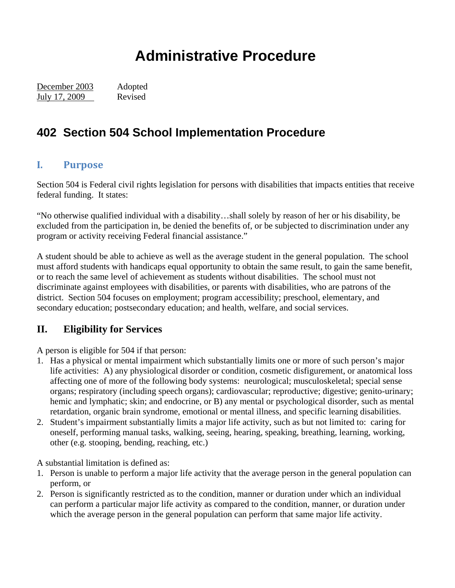# **Administrative Procedure**

December 2003 Adopted July 17, 2009 Revised

# **402 Section 504 School Implementation Procedure**

#### **I. Purpose**

Section 504 is Federal civil rights legislation for persons with disabilities that impacts entities that receive federal funding. It states:

"No otherwise qualified individual with a disability…shall solely by reason of her or his disability, be excluded from the participation in, be denied the benefits of, or be subjected to discrimination under any program or activity receiving Federal financial assistance."

A student should be able to achieve as well as the average student in the general population. The school must afford students with handicaps equal opportunity to obtain the same result, to gain the same benefit, or to reach the same level of achievement as students without disabilities. The school must not discriminate against employees with disabilities, or parents with disabilities, who are patrons of the district. Section 504 focuses on employment; program accessibility; preschool, elementary, and secondary education; postsecondary education; and health, welfare, and social services.

### **II. Eligibility for Services**

A person is eligible for 504 if that person:

- 1. Has a physical or mental impairment which substantially limits one or more of such person's major life activities: A) any physiological disorder or condition, cosmetic disfigurement, or anatomical loss affecting one of more of the following body systems: neurological; musculoskeletal; special sense organs; respiratory (including speech organs); cardiovascular; reproductive; digestive; genito-urinary; hemic and lymphatic; skin; and endocrine, or B) any mental or psychological disorder, such as mental retardation, organic brain syndrome, emotional or mental illness, and specific learning disabilities.
- 2. Student's impairment substantially limits a major life activity, such as but not limited to: caring for oneself, performing manual tasks, walking, seeing, hearing, speaking, breathing, learning, working, other (e.g. stooping, bending, reaching, etc.)

A substantial limitation is defined as:

- 1. Person is unable to perform a major life activity that the average person in the general population can perform, or
- 2. Person is significantly restricted as to the condition, manner or duration under which an individual can perform a particular major life activity as compared to the condition, manner, or duration under which the average person in the general population can perform that same major life activity.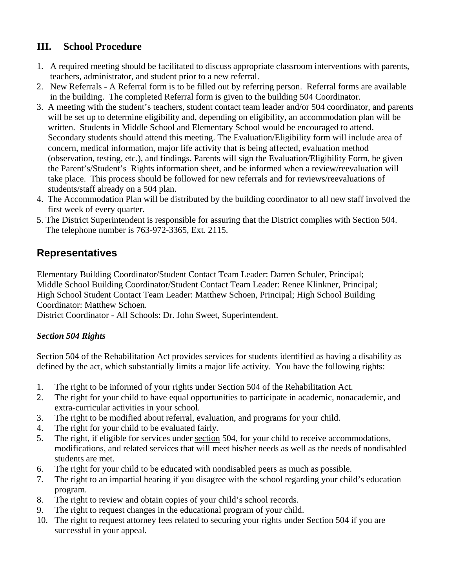## **III. School Procedure**

- 1. A required meeting should be facilitated to discuss appropriate classroom interventions with parents, teachers, administrator, and student prior to a new referral.
- 2. New Referrals A Referral form is to be filled out by referring person. Referral forms are available in the building. The completed Referral form is given to the building 504 Coordinator.
- 3. A meeting with the student's teachers, student contact team leader and/or 504 coordinator, and parents will be set up to determine eligibility and, depending on eligibility, an accommodation plan will be written. Students in Middle School and Elementary School would be encouraged to attend. Secondary students should attend this meeting. The Evaluation/Eligibility form will include area of concern, medical information, major life activity that is being affected, evaluation method (observation, testing, etc.), and findings. Parents will sign the Evaluation/Eligibility Form, be given the Parent's/Student's Rights information sheet, and be informed when a review/reevaluation will take place. This process should be followed for new referrals and for reviews/reevaluations of students/staff already on a 504 plan.
- 4. The Accommodation Plan will be distributed by the building coordinator to all new staff involved the first week of every quarter.
- 5. The District Superintendent is responsible for assuring that the District complies with Section 504. The telephone number is 763-972-3365, Ext. 2115.

## **Representatives**

Elementary Building Coordinator/Student Contact Team Leader: Darren Schuler, Principal; Middle School Building Coordinator/Student Contact Team Leader: Renee Klinkner, Principal; High School Student Contact Team Leader: Matthew Schoen, Principal; High School Building Coordinator: Matthew Schoen.

District Coordinator - All Schools: Dr. John Sweet, Superintendent.

### *Section 504 Rights*

Section 504 of the Rehabilitation Act provides services for students identified as having a disability as defined by the act, which substantially limits a major life activity. You have the following rights:

- 1. The right to be informed of your rights under Section 504 of the Rehabilitation Act.
- 2. The right for your child to have equal opportunities to participate in academic, nonacademic, and extra-curricular activities in your school.
- 3. The right to be modified about referral, evaluation, and programs for your child.
- 4. The right for your child to be evaluated fairly.
- 5. The right, if eligible for services under section 504, for your child to receive accommodations, modifications, and related services that will meet his/her needs as well as the needs of nondisabled students are met.
- 6. The right for your child to be educated with nondisabled peers as much as possible.
- 7. The right to an impartial hearing if you disagree with the school regarding your child's education program.
- 8. The right to review and obtain copies of your child's school records.
- 9. The right to request changes in the educational program of your child.
- 10. The right to request attorney fees related to securing your rights under Section 504 if you are successful in your appeal.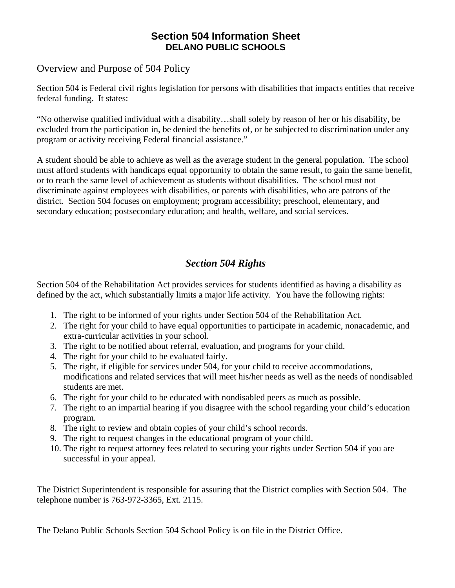#### **Section 504 Information Sheet DELANO PUBLIC SCHOOLS**

#### Overview and Purpose of 504 Policy

Section 504 is Federal civil rights legislation for persons with disabilities that impacts entities that receive federal funding. It states:

"No otherwise qualified individual with a disability…shall solely by reason of her or his disability, be excluded from the participation in, be denied the benefits of, or be subjected to discrimination under any program or activity receiving Federal financial assistance."

A student should be able to achieve as well as the average student in the general population. The school must afford students with handicaps equal opportunity to obtain the same result, to gain the same benefit, or to reach the same level of achievement as students without disabilities. The school must not discriminate against employees with disabilities, or parents with disabilities, who are patrons of the district. Section 504 focuses on employment; program accessibility; preschool, elementary, and secondary education; postsecondary education; and health, welfare, and social services.

## *Section 504 Rights*

Section 504 of the Rehabilitation Act provides services for students identified as having a disability as defined by the act, which substantially limits a major life activity. You have the following rights:

- 1. The right to be informed of your rights under Section 504 of the Rehabilitation Act.
- 2. The right for your child to have equal opportunities to participate in academic, nonacademic, and extra-curricular activities in your school.
- 3. The right to be notified about referral, evaluation, and programs for your child.
- 4. The right for your child to be evaluated fairly.
- 5. The right, if eligible for services under 504, for your child to receive accommodations, modifications and related services that will meet his/her needs as well as the needs of nondisabled students are met.
- 6. The right for your child to be educated with nondisabled peers as much as possible.
- 7. The right to an impartial hearing if you disagree with the school regarding your child's education program.
- 8. The right to review and obtain copies of your child's school records.
- 9. The right to request changes in the educational program of your child.
- 10. The right to request attorney fees related to securing your rights under Section 504 if you are successful in your appeal.

The District Superintendent is responsible for assuring that the District complies with Section 504. The telephone number is 763-972-3365, Ext. 2115.

The Delano Public Schools Section 504 School Policy is on file in the District Office.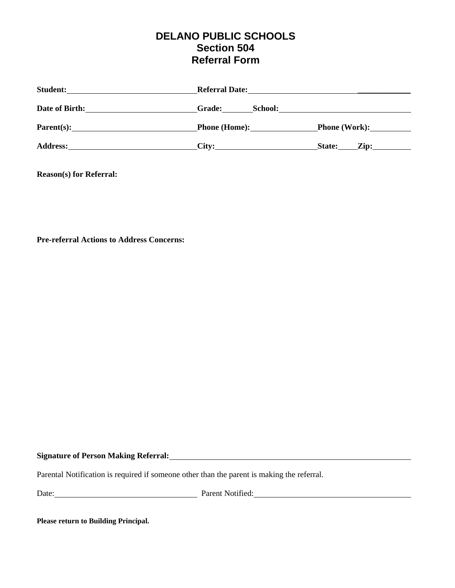## **DELANO PUBLIC SCHOOLS Section 504 Referral Form**

| <b>Student:</b>        | <b>Referral Date:</b><br><u>and the contract of the contract of the contract of the contract of the contract of the contract of the contract of the contract of the contract of the contract of the contract of the contract of the contract of the contr</u> |                                                                                                                       |  |
|------------------------|---------------------------------------------------------------------------------------------------------------------------------------------------------------------------------------------------------------------------------------------------------------|-----------------------------------------------------------------------------------------------------------------------|--|
| Date of Birth:         | <b>Grade:</b><br>School:                                                                                                                                                                                                                                      | <u>and the state of the state of the state of the state of the state of the state of the state of the state of th</u> |  |
| $\textbf{Parent}(s)$ : | Phone (Home):                                                                                                                                                                                                                                                 | <b>Phone (Work):</b>                                                                                                  |  |
| <b>Address:</b>        | City:                                                                                                                                                                                                                                                         | State:<br>$\mathbf{Zip:}$                                                                                             |  |

**Reason(s) for Referral:** 

**Pre-referral Actions to Address Concerns:** 

#### **Signature of Person Making Referral:**

Parental Notification is required if someone other than the parent is making the referral.

Date: Parent Notified: Parent Notified:

**Please return to Building Principal.**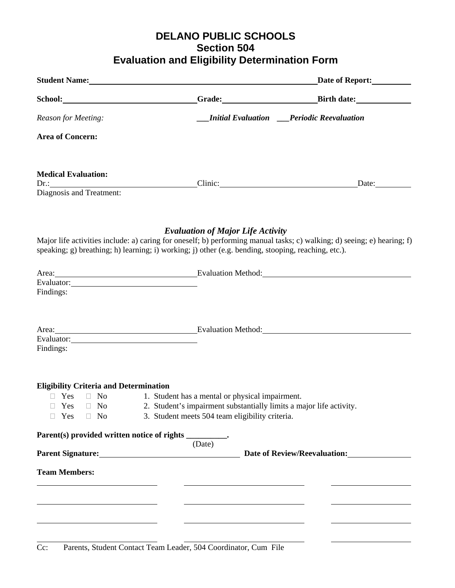## **DELANO PUBLIC SCHOOLS Section 504 Evaluation and Eligibility Determination Form**

|                                                                   | Student Name: Name and Student Name and Student Name and Student Name and Student Name and Student Name and Student Inc.                                                                                            | Date of Report:                                                                                                         |
|-------------------------------------------------------------------|---------------------------------------------------------------------------------------------------------------------------------------------------------------------------------------------------------------------|-------------------------------------------------------------------------------------------------------------------------|
|                                                                   |                                                                                                                                                                                                                     | Grade: Birth date:                                                                                                      |
| Reason for Meeting:                                               |                                                                                                                                                                                                                     | <b>Initial Evaluation</b> Periodic Reevaluation                                                                         |
| <b>Area of Concern:</b>                                           |                                                                                                                                                                                                                     |                                                                                                                         |
| <b>Medical Evaluation:</b>                                        |                                                                                                                                                                                                                     |                                                                                                                         |
|                                                                   |                                                                                                                                                                                                                     |                                                                                                                         |
|                                                                   | <b>Evaluation of Major Life Activity</b><br>speaking; g) breathing; h) learning; i) working; j) other (e.g. bending, stooping, reaching, etc.).                                                                     | Major life activities include: a) caring for oneself; b) performing manual tasks; c) walking; d) seeing; e) hearing; f) |
|                                                                   | Area: Evaluation Method: Evaluation Method:                                                                                                                                                                         |                                                                                                                         |
| Findings:                                                         |                                                                                                                                                                                                                     |                                                                                                                         |
| Findings:                                                         | Area: Evaluation Method: Evaluation Method:                                                                                                                                                                         |                                                                                                                         |
| <b>Eligibility Criteria and Determination</b><br>Yes<br>$\Box$ No | $\Box$ Yes $\Box$ No 1. Student has a mental or physical impairment.<br>$\Box$ Yes $\Box$ No 2. Student's impairment substantially limits a major life activity.<br>3. Student meets 504 team eligibility criteria. |                                                                                                                         |
| Parent(s) provided written notice of rights _________.            |                                                                                                                                                                                                                     |                                                                                                                         |
|                                                                   | (Date)<br>Parent Signature: 1990 1991 1992 Date of Review/Reevaluation:                                                                                                                                             |                                                                                                                         |
| <b>Team Members:</b>                                              |                                                                                                                                                                                                                     |                                                                                                                         |
|                                                                   |                                                                                                                                                                                                                     |                                                                                                                         |
|                                                                   |                                                                                                                                                                                                                     |                                                                                                                         |
|                                                                   |                                                                                                                                                                                                                     |                                                                                                                         |